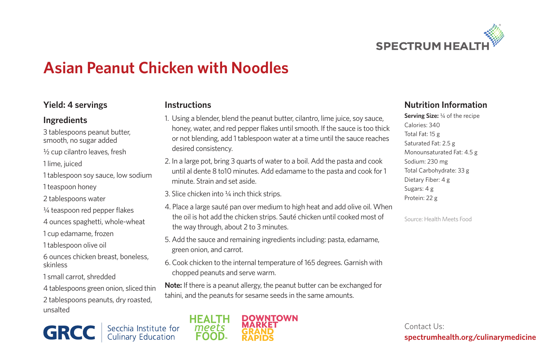

# **Asian Peanut Chicken with Noodles**

### **Yield: 4 servings**

#### **Ingredients**

3 tablespoons peanut butter, smooth, no sugar added

½ cup cilantro leaves, fresh

1 lime, juiced

1 tablespoon soy sauce, low sodium

1 teaspoon honey

2 tablespoons water

¼ teaspoon red pepper flakes

4 ounces spaghetti, whole-wheat

1 cup edamame, frozen

1 tablespoon olive oil

6 ounces chicken breast, boneless, skinless

1 small carrot, shredded

4 tablespoons green onion, sliced thin

2 tablespoons peanuts, dry roasted, unsalted

Secchia Institute for<br>Culinary Education **GRCC** 

#### **Instructions**

- 1. Using a blender, blend the peanut butter, cilantro, lime juice, soy sauce, honey, water, and red pepper flakes until smooth. If the sauce is too thick or not blending, add 1 tablespoon water at a time until the sauce reaches desired consistency.
- 2. In a large pot, bring 3 quarts of water to a boil. Add the pasta and cook until al dente 8 to10 minutes. Add edamame to the pasta and cook for 1 minute. Strain and set aside.
- 3. Slice chicken into ¼ inch thick strips.
- 4. Place a large sauté pan over medium to high heat and add olive oil. When the oil is hot add the chicken strips. Sauté chicken until cooked most of the way through, about 2 to 3 minutes.
- 5. Add the sauce and remaining ingredients including: pasta, edamame, green onion, and carrot.
- 6. Cook chicken to the internal temperature of 165 degrees. Garnish with chopped peanuts and serve warm.

**Note:** If there is a peanut allergy, the peanut butter can be exchanged for tahini, and the peanuts for sesame seeds in the same amounts.



## **Nutrition Information**

**Serving Size:** ¼ of the recipe Calories: 340 Total Fat: 15 g Saturated Fat: 2.5 g Monounsaturated Fat: 4.5 g Sodium: 230 mg Total Carbohydrate: 33 g Dietary Fiber: 4 g Sugars: 4 g Protein: 22 g

Source: Health Meets Food

Contact Us: **spectrumhealth.org/culinarymedicine**